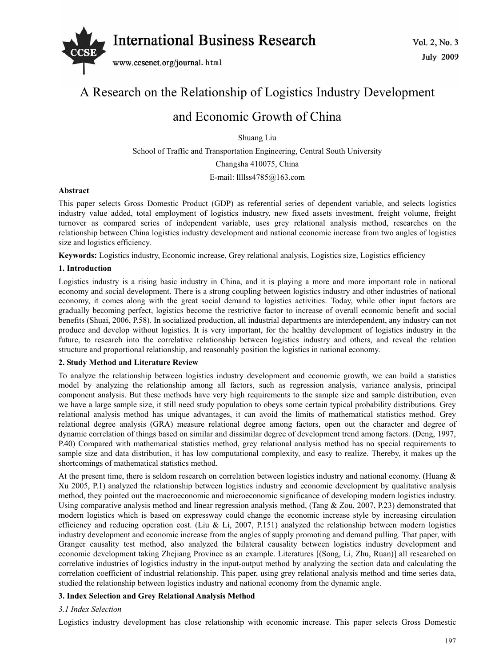

# A Research on the Relationship of Logistics Industry Development

# and Economic Growth of China

Shuang Liu

School of Traffic and Transportation Engineering, Central South University Changsha 410075, China

E-mail: llllss4785@163.com

# **Abstract**

This paper selects Gross Domestic Product (GDP) as referential series of dependent variable, and selects logistics industry value added, total employment of logistics industry, new fixed assets investment, freight volume, freight turnover as compared series of independent variable, uses grey relational analysis method, researches on the relationship between China logistics industry development and national economic increase from two angles of logistics size and logistics efficiency.

**Keywords:** Logistics industry, Economic increase, Grey relational analysis, Logistics size, Logistics efficiency

# **1. Introduction**

Logistics industry is a rising basic industry in China, and it is playing a more and more important role in national economy and social development. There is a strong coupling between logistics industry and other industries of national economy, it comes along with the great social demand to logistics activities. Today, while other input factors are gradually becoming perfect, logistics become the restrictive factor to increase of overall economic benefit and social benefits (Shuai, 2006, P.58). In socialized production, all industrial departments are interdependent, any industry can not produce and develop without logistics. It is very important, for the healthy development of logistics industry in the future, to research into the correlative relationship between logistics industry and others, and reveal the relation structure and proportional relationship, and reasonably position the logistics in national economy.

# **2. Study Method and Literature Review**

To analyze the relationship between logistics industry development and economic growth, we can build a statistics model by analyzing the relationship among all factors, such as regression analysis, variance analysis, principal component analysis. But these methods have very high requirements to the sample size and sample distribution, even we have a large sample size, it still need study population to obeys some certain typical probability distributions. Grey relational analysis method has unique advantages, it can avoid the limits of mathematical statistics method. Grey relational degree analysis (GRA) measure relational degree among factors, open out the character and degree of dynamic correlation of things based on similar and dissimilar degree of development trend among factors. (Deng, 1997, P.40) Compared with mathematical statistics method, grey relational analysis method has no special requirements to sample size and data distribution, it has low computational complexity, and easy to realize. Thereby, it makes up the shortcomings of mathematical statistics method.

At the present time, there is seldom research on correlation between logistics industry and national economy. (Huang & Xu 2005, P.1) analyzed the relationship between logistics industry and economic development by qualitative analysis method, they pointed out the macroeconomic and microeconomic significance of developing modern logistics industry. Using comparative analysis method and linear regression analysis method, (Tang & Zou, 2007, P.23) demonstrated that modern logistics which is based on expressway could change the economic increase style by increasing circulation efficiency and reducing operation cost. (Liu & Li, 2007, P.151) analyzed the relationship between modern logistics industry development and economic increase from the angles of supply promoting and demand pulling. That paper, with Granger causality test method, also analyzed the bilateral causality between logistics industry development and economic development taking Zhejiang Province as an example. Literatures [(Song, Li, Zhu, Ruan)] all researched on correlative industries of logistics industry in the input-output method by analyzing the section data and calculating the correlation coefficient of industrial relationship. This paper, using grey relational analysis method and time series data, studied the relationship between logistics industry and national economy from the dynamic angle.

# **3. Index Selection and Grey Relational Analysis Method**

# *3.1 Index Selection*

Logistics industry development has close relationship with economic increase. This paper selects Gross Domestic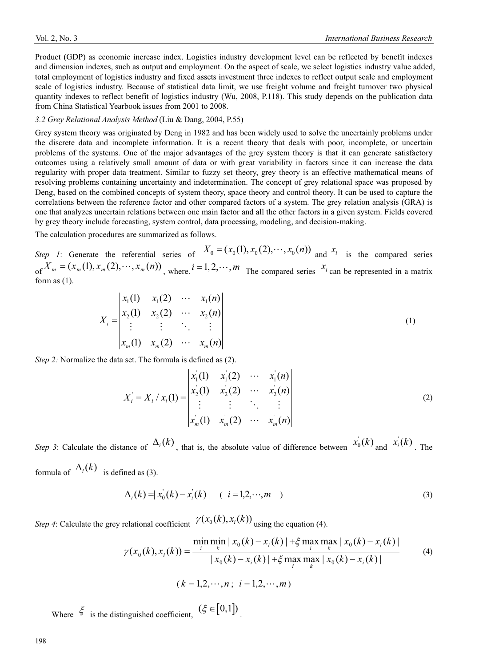Product (GDP) as economic increase index. Logistics industry development level can be reflected by benefit indexes and dimension indexes, such as output and employment. On the aspect of scale, we select logistics industry value added, total employment of logistics industry and fixed assets investment three indexes to reflect output scale and employment scale of logistics industry. Because of statistical data limit, we use freight volume and freight turnover two physical quantity indexes to reflect benefit of logistics industry (Wu, 2008, P.118). This study depends on the publication data from China Statistical Yearbook issues from 2001 to 2008.

#### *3.2 Grey Relational Analysis Method* (Liu & Dang, 2004, P.55)

Grey system theory was originated by Deng in 1982 and has been widely used to solve the uncertainly problems under the discrete data and incomplete information. It is a recent theory that deals with poor, incomplete, or uncertain problems of the systems. One of the major advantages of the grey system theory is that it can generate satisfactory outcomes using a relatively small amount of data or with great variability in factors since it can increase the data regularity with proper data treatment. Similar to fuzzy set theory, grey theory is an effective mathematical means of resolving problems containing uncertainty and indetermination. The concept of grey relational space was proposed by Deng, based on the combined concepts of system theory, space theory and control theory. It can be used to capture the correlations between the reference factor and other compared factors of a system. The grey relation analysis (GRA) is one that analyzes uncertain relations between one main factor and all the other factors in a given system. Fields covered by grey theory include forecasting, system control, data processing, modeling, and decision-making.

The calculation procedures are summarized as follows.

*Step 1*: Generate the referential series of  $X_0 = (x_0(1), x_0(2), \dots, x_0(n))$  and  $x_i$  is the compared series of  $X_m = (x_m(1), x_m(2), \dots, x_m(n))$ , where,  $i = 1, 2, \dots, m$  The compared series  $x_i$  can be represented in a matrix form as (1).

$$
X_{i} = \begin{vmatrix} x_{1}(1) & x_{1}(2) & \cdots & x_{1}(n) \\ x_{2}(1) & x_{2}(2) & \cdots & x_{2}(n) \\ \vdots & \vdots & \ddots & \vdots \\ x_{m}(1) & x_{m}(2) & \cdots & x_{m}(n) \end{vmatrix}
$$
 (1)

*Step 2:* Normalize the data set. The formula is defined as (2).

$$
X'_{i} = X_{i} / x_{i}(1) = \begin{vmatrix} x_{1}(1) & x_{1}(2) & \cdots & x_{1}(n) \\ x_{2}(1) & x_{2}(2) & \cdots & x_{2}(n) \\ \vdots & \vdots & \ddots & \vdots \\ x_{m}(1) & x_{m}(2) & \cdots & x_{m}(n) \end{vmatrix}
$$
 (2)

*Step 3*: Calculate the distance of  $\Delta_i(k)$ , that is, the absolute value of difference between  $x_0(k)$  and  $x_i(k)$ . The formula of  $\Delta_i(k)$  is defined as (3).

$$
\Delta_i(k) = |x_0(k) - x_i(k)| \quad (i = 1, 2, \cdots, m) \tag{3}
$$

*Step 4*: Calculate the grey relational coefficient  $\gamma(x_0(k), x_i(k))$  *i* using the equation (4).

$$
\gamma(x_0(k), x_i(k)) = \frac{\min_{i} \min_{k} |x_0(k) - x_i(k)| + \xi \max_{i} \max_{k} |x_0(k) - x_i(k)|}{|x_0(k) - x_i(k)| + \xi \max_{i} \max_{k} |x_0(k) - x_i(k)|}
$$
(4)  

$$
(k = 1, 2, \dots, n; i = 1, 2, \dots, m)
$$

Where  $\xi$  is the distinguished coefficient,  $(\xi \in [0,1])$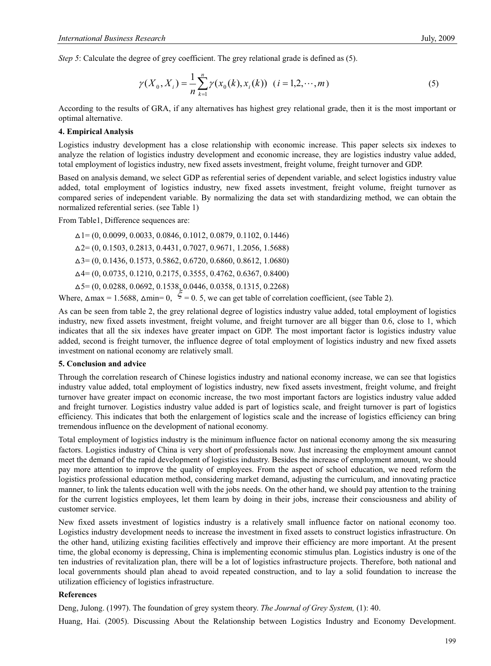*Step 5*: Calculate the degree of grey coefficient. The grey relational grade is defined as (5).

$$
\gamma(X_0, X_i) = \frac{1}{n} \sum_{k=1}^n \gamma(x_0(k), x_i(k)) \quad (i = 1, 2, \cdots, m)
$$
\n(5)

According to the results of GRA, if any alternatives has highest grey relational grade, then it is the most important or optimal alternative.

#### **4. Empirical Analysis**

Logistics industry development has a close relationship with economic increase. This paper selects six indexes to analyze the relation of logistics industry development and economic increase, they are logistics industry value added, total employment of logistics industry, new fixed assets investment, freight volume, freight turnover and GDP.

Based on analysis demand, we select GDP as referential series of dependent variable, and select logistics industry value added, total employment of logistics industry, new fixed assets investment, freight volume, freight turnover as compared series of independent variable. By normalizing the data set with standardizing method, we can obtain the normalized referential series. (see Table 1)

From Table1, Difference sequences are:

 $\Delta$ 1= (0, 0.0099, 0.0033, 0.0846, 0.1012, 0.0879, 0.1102, 0.1446)  $\Delta$ 2= (0, 0.1503, 0.2813, 0.4431, 0.7027, 0.9671, 1.2056, 1.5688) ᇞ3= (0, 0.1436, 0.1573, 0.5862, 0.6720, 0.6860, 0.8612, 1.0680) ᇞ4= (0, 0.0735, 0.1210, 0.2175, 0.3555, 0.4762, 0.6367, 0.8400)  $\Delta$ 5= (0, 0.0288, 0.0692, 0.1538, 0.0446, 0.0358, 0.1315, 0.2268)

Where,  $\triangle$ max = 1.5688,  $\triangle$ min= 0,  $\zeta$  = 0. 5, we can get table of correlation coefficient, (see Table 2).

As can be seen from table 2, the grey relational degree of logistics industry value added, total employment of logistics industry, new fixed assets investment, freight volume, and freight turnover are all bigger than 0.6, close to 1, which indicates that all the six indexes have greater impact on GDP. The most important factor is logistics industry value added, second is freight turnover, the influence degree of total employment of logistics industry and new fixed assets investment on national economy are relatively small.

#### **5. Conclusion and advice**

Through the correlation research of Chinese logistics industry and national economy increase, we can see that logistics industry value added, total employment of logistics industry, new fixed assets investment, freight volume, and freight turnover have greater impact on economic increase, the two most important factors are logistics industry value added and freight turnover. Logistics industry value added is part of logistics scale, and freight turnover is part of logistics efficiency. This indicates that both the enlargement of logistics scale and the increase of logistics efficiency can bring tremendous influence on the development of national economy.

Total employment of logistics industry is the minimum influence factor on national economy among the six measuring factors. Logistics industry of China is very short of professionals now. Just increasing the employment amount cannot meet the demand of the rapid development of logistics industry. Besides the increase of employment amount, we should pay more attention to improve the quality of employees. From the aspect of school education, we need reform the logistics professional education method, considering market demand, adjusting the curriculum, and innovating practice manner, to link the talents education well with the jobs needs. On the other hand, we should pay attention to the training for the current logistics employees, let them learn by doing in their jobs, increase their consciousness and ability of customer service.

New fixed assets investment of logistics industry is a relatively small influence factor on national economy too. Logistics industry development needs to increase the investment in fixed assets to construct logistics infrastructure. On the other hand, utilizing existing facilities effectively and improve their efficiency are more important. At the present time, the global economy is depressing, China is implementing economic stimulus plan. Logistics industry is one of the ten industries of revitalization plan, there will be a lot of logistics infrastructure projects. Therefore, both national and local governments should plan ahead to avoid repeated construction, and to lay a solid foundation to increase the utilization efficiency of logistics infrastructure.

#### **References**

Deng, Julong. (1997). The foundation of grey system theory. *The Journal of Grey System,* (1): 40.

Huang, Hai. (2005). Discussing About the Relationship between Logistics Industry and Economy Development.